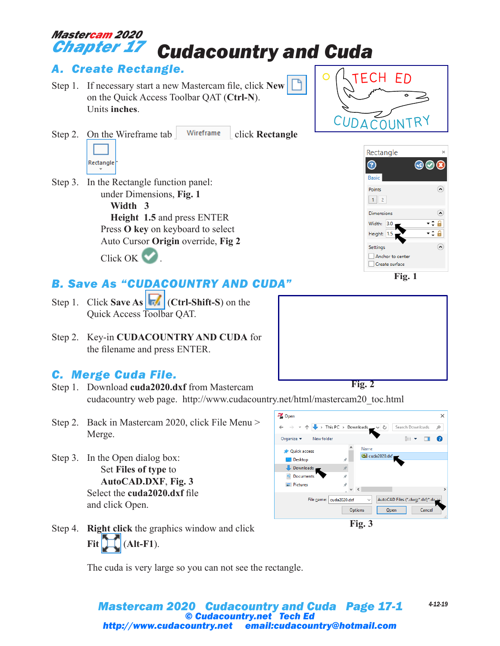### *Cudacountry and Cuda Mastercam 2020 Chapter 17*

## *A. Create Rectangle.*

- Step 1. If necessary start a new Mastercam file, click **New** on the Quick Access Toolbar QAT (**Ctrl-N**). Units **inches**.
- Step 2. On the Wireframe tab Wireframe click **Rectangle** 
	- Rectangle

.

Step 3. In the Rectangle function panel: under Dimensions, **Fig. 1**

> **Width 3 Height 1.5** and press ENTER Press **O key** on keyboard to select Auto Cursor **Origin** override, **Fig 2** Click OK &

# *B. Save As "CUDACOUNTRY AND CUDA"*

- Step 1. Click **Save As** (**Ctrl-Shift-S**) on the Quick Access Toolbar QAT.
- Step 2. Key-in **CUDACOUNTRY AND CUDA** for the filename and press ENTER.

### *C. Merge Cuda File.*

- Step 1. Download **cuda2020.dxf** from Mastercam cudacountry web page. http://www.cudacountry.net/html/mastercam20\_toc.html **Fig. 2**
- Step 2. Back in Mastercam 2020, click File Menu > Merge.
- Step 3. In the Open dialog box: Set **Files of type** to **AutoCAD.DXF**, **Fig. 3** Select the **cuda2020.dxf** file and click Open.
- Step 4. **Right click** the graphics window and click **Fit**  $\left[\prod_{i=1}^{n} (Alt-F1)\right]$ .

The cuda is very large so you can not see the rectangle.

#### *Mastercam 2020 Cudacountry and Cuda Page 17-1 4-12-19 © Cudacountry.net Tech Ed http://www.cudacountry.net email:cudacountry@hotmail.com*





**ECH ED** 



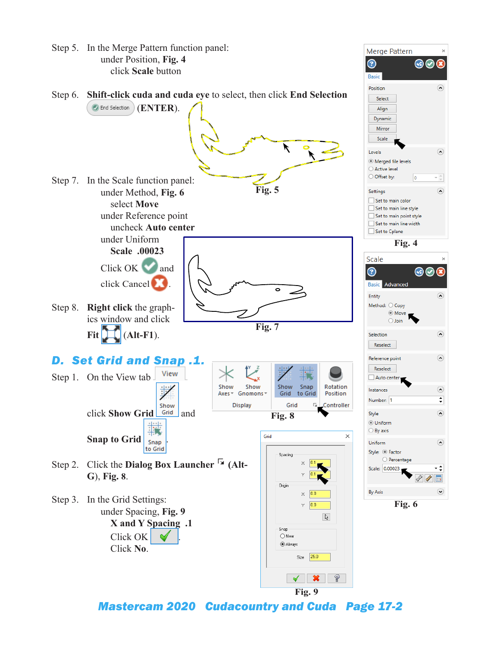

*Mastercam 2020 Cudacountry and Cuda Page 17-2*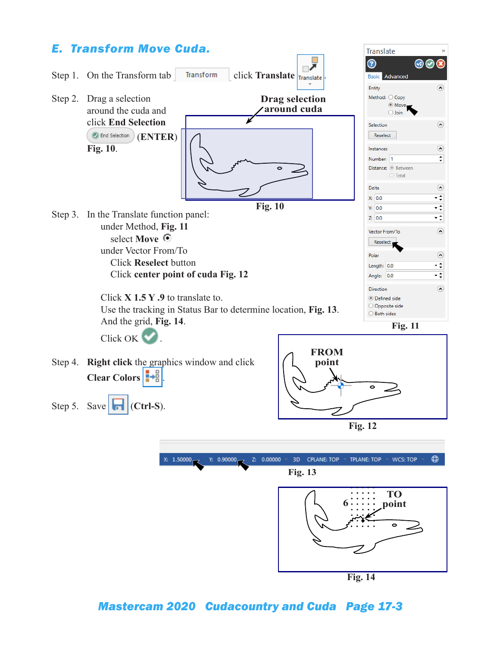

**Fig. 14**

### *Mastercam 2020 Cudacountry and Cuda Page 17-3*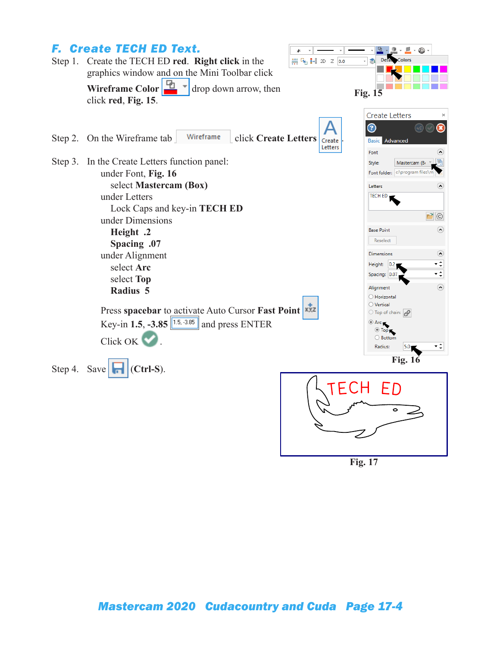

**Fig. 17**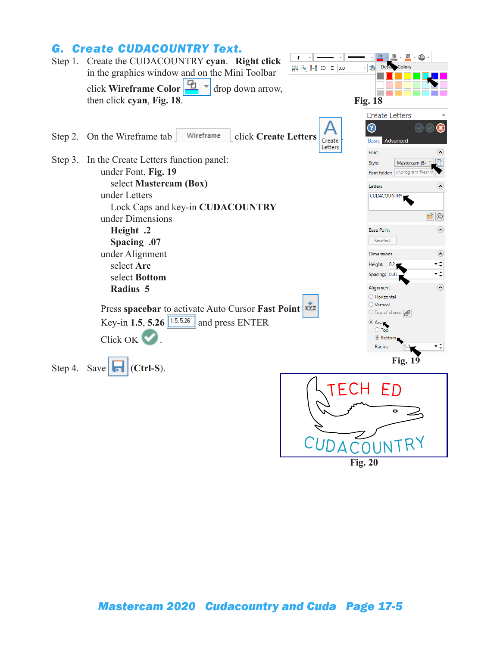### *G. Create CUDACOUNTRY Text.*



**Fig. 20**